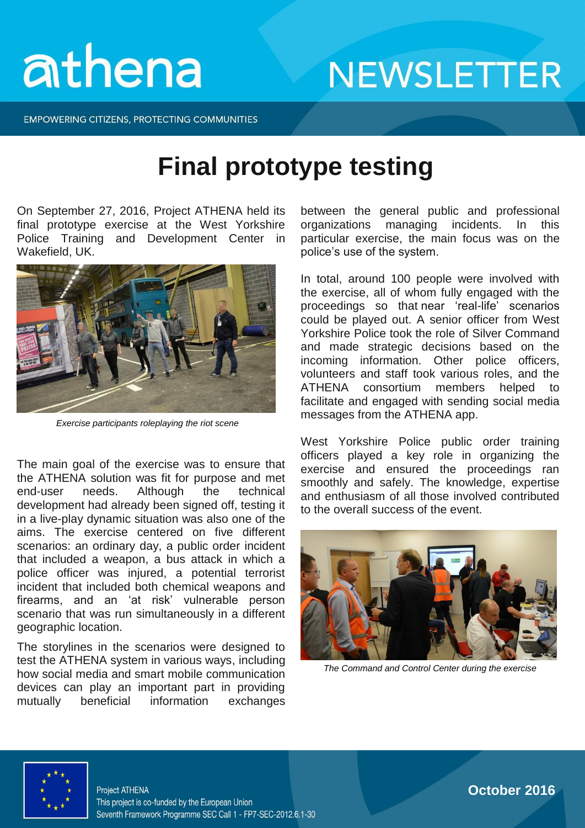# athena

**NEWSLETTER** 

**EMPOWERING CITIZENS, PROTECTING COMMUNITIES** 

#### **Final prototype testing**

On September 27, 2016, Project ATHENA held its final prototype exercise at the West Yorkshire Police Training and Development Center in Wakefield, UK.



*Exercise participants roleplaying the riot scene*

The main goal of the exercise was to ensure that the ATHENA solution was fit for purpose and met end-user needs. Although the technical development had already been signed off, testing it in a live-play dynamic situation was also one of the aims. The exercise centered on five different scenarios: an ordinary day, a public order incident that included a weapon, a bus attack in which a police officer was injured, a potential terrorist incident that included both chemical weapons and firearms, and an 'at risk' vulnerable person scenario that was run simultaneously in a different geographic location.

The storylines in the scenarios were designed to test the ATHENA system in various ways, including how social media and smart mobile communication devices can play an important part in providing mutually beneficial information exchanges

between the general public and professional organizations managing incidents. In this particular exercise, the main focus was on the police's use of the system.

In total, around 100 people were involved with the exercise, all of whom fully engaged with the proceedings so that near 'real-life' scenarios could be played out. A senior officer from West Yorkshire Police took the role of Silver Command and made strategic decisions based on the incoming information. Other police officers, volunteers and staff took various roles, and the ATHENA consortium members helped to facilitate and engaged with sending social media messages from the ATHENA app.

West Yorkshire Police public order training officers played a key role in organizing the exercise and ensured the proceedings ran smoothly and safely. The knowledge, expertise and enthusiasm of all those involved contributed to the overall success of the event.



*The Command and Control Center during the exercise*



**October 2016**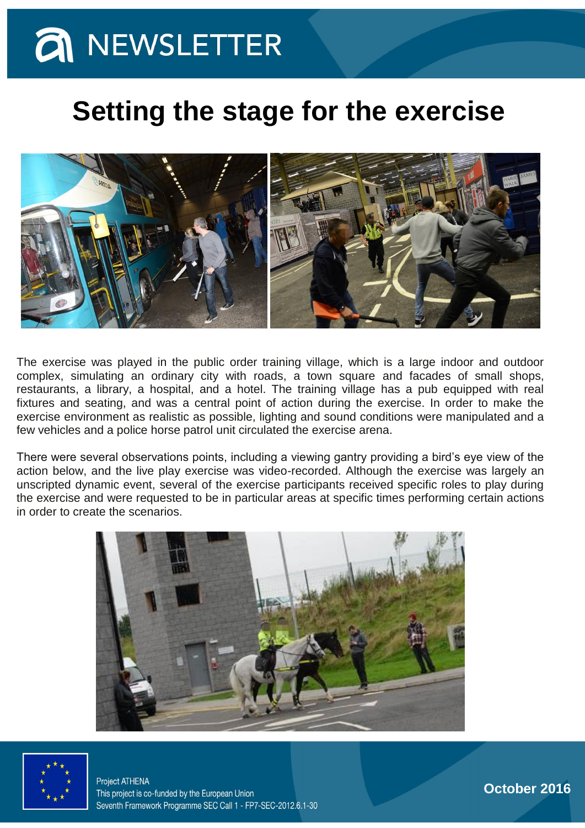### **a** NEWSLETTER

#### **Setting the stage for the exercise**



The exercise was played in the public order training village, which is a large indoor and outdoor complex, simulating an ordinary city with roads, a town square and facades of small shops, restaurants, a library, a hospital, and a hotel. The training village has a pub equipped with real fixtures and seating, and was a central point of action during the exercise. In order to make the exercise environment as realistic as possible, lighting and sound conditions were manipulated and a few vehicles and a police horse patrol unit circulated the exercise arena.

There were several observations points, including a viewing gantry providing a bird's eye view of the action below, and the live play exercise was video-recorded. Although the exercise was largely an unscripted dynamic event, several of the exercise participants received specific roles to play during the exercise and were requested to be in particular areas at specific times performing certain actions in order to create the scenarios.





**Project ATHENA** This project is co-funded by the European Union Seventh Framework Programme SEC Call 1 - FP7-SEC-2012.6.1-30

**October 2016**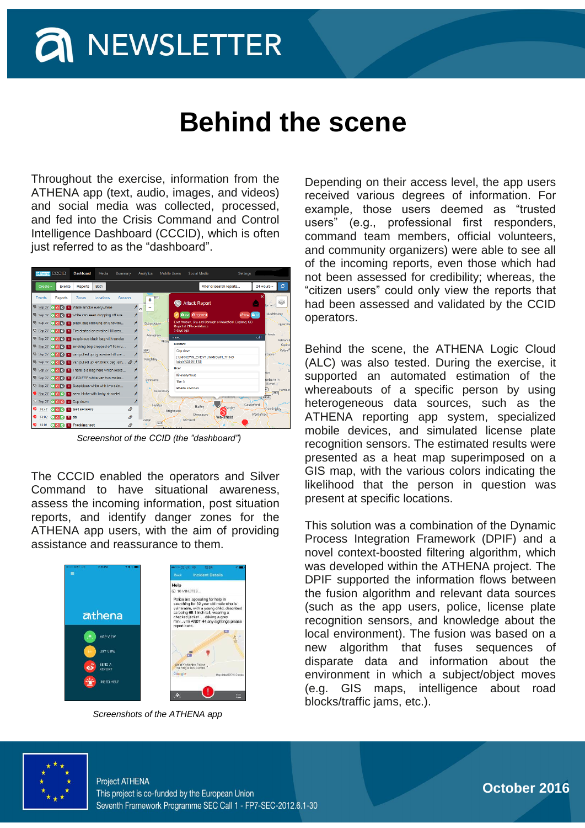# **a** NEWSLETTER

#### **Behind the scene**

Throughout the exercise, information from the ATHENA app (text, audio, images, and videos) and social media was collected, processed, and fed into the Crisis Command and Control Intelligence Dashboard (CCCID), which is often just referred to as the "dashboard".

| athena CCCID            |                         | Dashboard                                          | Media       | Summary | Analytics             | <b>Mobile Users</b>  | Social Media                                                                         | Settings                    |                               |
|-------------------------|-------------------------|----------------------------------------------------|-------------|---------|-----------------------|----------------------|--------------------------------------------------------------------------------------|-----------------------------|-------------------------------|
| Create -                | Events                  | Reports                                            | <b>Both</b> |         |                       |                      | Filter or search reports                                                             |                             | ø<br>24 Hours -               |
| <b>Events</b>           | <b>Reports</b>          | Zones                                              | Locations   | Sensors | $\ddot{}$             | 245                  | <b>Attack Report</b>                                                                 |                             | ×                             |
| v<br>Sep 27             |                         | 0 3 0 R White smoke everywhere                     |             |         | ×<br>$\triangleright$ |                      |                                                                                      |                             | ton-on-O                      |
| ∪                       |                         | Sep 27 (0 c) R white van seen dropping off sus     |             |         | ×                     | ×                    | O low O rejected                                                                     | <b>BL3</b><br><b>IC</b> law | Nun Monkton                   |
| $\overline{\mathbf{v}}$ |                         | Sep 27 (0 5 6 R Black bag smoking on Snowde        |             |         | ×<br>Bolton Abbey     |                      | East Ardsley, City and Borough of Wakefield, England, GB<br>Reject at 21% confidence |                             | <b>Upper Po</b>               |
|                         |                         | Sep 27 ( C C R Fire started on swaine Hill cres    |             |         | ×                     | 3 days ago           |                                                                                      |                             | in Ainsty                     |
| U.                      |                         | Sep 27 (0 3 6) R suspicious black bag with smoke   |             |         | Addingham<br>×        | move<br>Ilkley       |                                                                                      |                             | edit<br>Askham E              |
|                         |                         | Sep 27 (C C C C Smoking bag dropped off from v     |             |         | ×                     | Content              |                                                                                      |                             | Copma<br>Coliton <sup>A</sup> |
|                         |                         | Sep 27 ( C C C R can pulled up by swaine hill cre  |             |         | 1429<br>×             |                      | Cop down<br>[UNKNOWN_EVENT UNKNOWN_THING                                             |                             | dcaster                       |
| U                       |                         | Sep 27 (O C O R van pulled up left black bag, sm @ |             |         | Keighley<br>×         |                      | labelr1638381110)                                                                    |                             |                               |
| $\overline{\mathbf{v}}$ |                         | Sep 27 (0 15 0 R There is a bag here which looks   |             |         | ⊀                     | <b>Hear</b>          |                                                                                      |                             | Ċ<br>don                      |
| U                       |                         | Sep 27 0 6 8 R YJ60 FEF white van two males        |             |         | ⊀<br>Denholme         |                      | <b>ID anonymous</b>                                                                  |                             | ierburn in                    |
|                         |                         | U Sep 27 0 3 8 Suspicious white with two skin      |             |         | $\star$               | Tier 3               | Phone unknown                                                                        |                             | Elmet.                        |
|                         |                         | Sep 27 (a) C R seen bloke with baby at nostel      |             |         | ×                     | Queensbury           |                                                                                      |                             | Hamblet<br>A63                |
|                         | Sep 27 0 3 0 R Cop down |                                                    |             |         | ⊀                     |                      |                                                                                      |                             | A1(M)                         |
| ۰<br>15:47              |                         | O C O R test sensors                               |             | Ø       |                       | Halifax<br>Brighouse | Batley                                                                               | Castleford<br>Chanley       | Knottingley                   |
| ●<br>13:02              | O <b>D</b> O R ds       |                                                    |             | Ø.      |                       |                      | Dewsbury<br>Wakefield                                                                |                             | Pontefract                    |
| 13:01                   |                         | O 5 O R Tracking test                              |             | Ø       | onden                 | <b>M42</b>           | Mirfield                                                                             |                             |                               |
|                         |                         |                                                    |             |         |                       |                      |                                                                                      |                             |                               |

*Screenshot of the CCID (the "dashboard")*

The CCCID enabled the operators and Silver Command to have situational awareness, assess the incoming information, post situation reports, and identify danger zones for the ATHENA app users, with the aim of providing assistance and reassurance to them.



*Screenshots of the ATHENA app*

Depending on their access level, the app users received various degrees of information. For example, those users deemed as "trusted users" (e.g., professional first responders, command team members, official volunteers, and community organizers) were able to see all of the incoming reports, even those which had not been assessed for credibility; whereas, the "citizen users" could only view the reports that had been assessed and validated by the CCID operators.

Behind the scene, the ATHENA Logic Cloud (ALC) was also tested. During the exercise, it supported an automated estimation of the whereabouts of a specific person by using heterogeneous data sources, such as the ATHENA reporting app system, specialized mobile devices, and simulated license plate recognition sensors. The estimated results were presented as a heat map superimposed on a GIS map, with the various colors indicating the likelihood that the person in question was present at specific locations.

This solution was a combination of the Dynamic Process Integration Framework (DPIF) and a novel context-boosted filtering algorithm, which was developed within the ATHENA project. The DPIF supported the information flows between the fusion algorithm and relevant data sources (such as the app users, police, license plate recognition sensors, and knowledge about the local environment). The fusion was based on a new algorithm that fuses sequences of disparate data and information about the environment in which a subject/object moves (e.g. GIS maps, intelligence about road blocks/traffic jams, etc.).